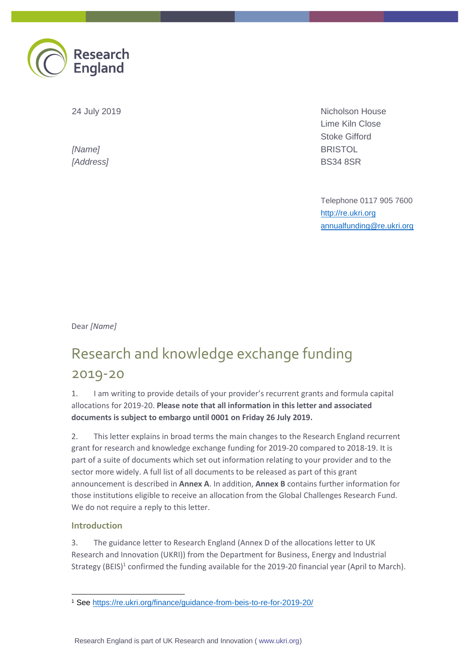

24 July 2019

*[Name] [Address]* Nicholson House Lime Kiln Close Stoke Gifford **BRISTOL** BS34 8SR

Telephone 0117 905 7600 [http://re.ukri.org](http://www.re.ukri.org/) [annualfunding@re.ukri.org](mailto:annualfunding@re.ukri.org)

Dear *[Name]*

# Research and knowledge exchange funding 2019-20

1. I am writing to provide details of your provider's recurrent grants and formula capital allocations for 2019-20. **Please note that all information in this letter and associated documents is subject to embargo until 0001 on Friday 26 July 2019.**

2. This letter explains in broad terms the main changes to the Research England recurrent grant for research and knowledge exchange funding for 2019-20 compared to 2018-19. It is part of a suite of documents which set out information relating to your provider and to the sector more widely. A full list of all documents to be released as part of this grant announcement is described in **Annex A**. In addition, **Annex B** contains further information for those institutions eligible to receive an allocation from the Global Challenges Research Fund. We do not require a reply to this letter.

#### **Introduction**

3. The guidance letter to Research England (Annex D of the allocations letter to UK Research and Innovation (UKRI)) from the Department for Business, Energy and Industrial Strategy (BEIS)<sup>1</sup> confirmed the funding available for the 2019-20 financial year (April to March).

<sup>1</sup> <sup>1</sup> See<https://re.ukri.org/finance/guidance-from-beis-to-re-for-2019-20/>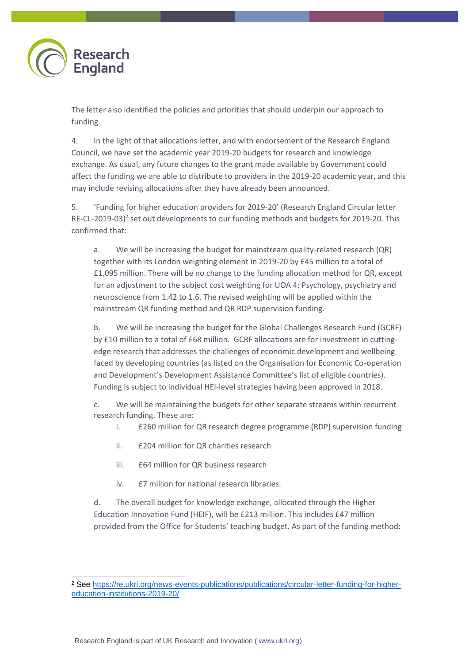

-

The letter also identified the policies and priorities that should underpin our approach to funding.

4. In the light of that allocations letter, and with endorsement of the Research England Council, we have set the academic year 2019-20 budgets for research and knowledge exchange. As usual, any future changes to the grant made available by Government could affect the funding we are able to distribute to providers in the 2019-20 academic year, and this may include revising allocations after they have already been announced.

5. 'Funding for higher education providers for 2019-20' (Research England Circular letter RE-CL-2019-03)<sup>2</sup> set out developments to our funding methods and budgets for 2019-20. This confirmed that:

a. We will be increasing the budget for mainstream quality-related research (QR) together with its London weighting element in 2019-20 by £45 million to a total of £1,095 million. There will be no change to the funding allocation method for QR, except for an adjustment to the subject cost weighting for UOA 4: Psychology, psychiatry and neuroscience from 1.42 to 1.6. The revised weighting will be applied within the mainstream QR funding method and QR RDP supervision funding.

b. We will be increasing the budget for the Global Challenges Research Fund (GCRF) by £10 million to a total of £68 million. GCRF allocations are for investment in cuttingedge research that addresses the challenges of economic development and wellbeing faced by developing countries (as listed on the Organisation for Economic Co-operation and Development's Development Assistance Committee's list of eligible countries). Funding is subject to individual HEI-level strategies having been approved in 2018.

c. We will be maintaining the budgets for other separate streams within recurrent research funding. These are:

- i. £260 million for QR research degree programme (RDP) supervision funding
- ii. £204 million for QR charities research
- iii. £64 million for QR business research
- iv. £7 million for national research libraries.

d. The overall budget for knowledge exchange, allocated through the Higher Education Innovation Fund (HEIF), will be £213 million. This includes £47 million provided from the Office for Students' teaching budget. As part of the funding method:

Research England is part of UK Research and Innovation ( www.ukri.org)

<sup>2</sup> See [https://re.ukri.org/news-events-publications/publications/circular-letter-funding-for-higher](https://re.ukri.org/news-events-publications/publications/circular-letter-funding-for-higher-education-institutions-2019-20/)[education-institutions-2019-20/](https://re.ukri.org/news-events-publications/publications/circular-letter-funding-for-higher-education-institutions-2019-20/)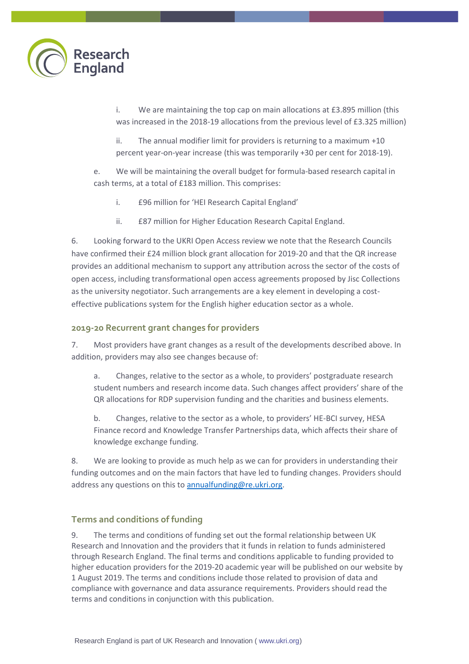

i. We are maintaining the top cap on main allocations at £3.895 million (this was increased in the 2018-19 allocations from the previous level of £3.325 million)

ii. The annual modifier limit for providers is returning to a maximum +10 percent year-on-year increase (this was temporarily +30 per cent for 2018-19).

e. We will be maintaining the overall budget for formula-based research capital in cash terms, at a total of £183 million. This comprises:

- i. £96 million for 'HEI Research Capital England'
- ii. £87 million for Higher Education Research Capital England.

6. Looking forward to the UKRI Open Access review we note that the Research Councils have confirmed their £24 million block grant allocation for 2019-20 and that the QR increase provides an additional mechanism to support any attribution across the sector of the costs of open access, including transformational open access agreements proposed by Jisc Collections as the university negotiator. Such arrangements are a key element in developing a costeffective publications system for the English higher education sector as a whole.

#### **2019-20 Recurrent grant changes for providers**

7. Most providers have grant changes as a result of the developments described above. In addition, providers may also see changes because of:

a. Changes, relative to the sector as a whole, to providers' postgraduate research student numbers and research income data. Such changes affect providers' share of the QR allocations for RDP supervision funding and the charities and business elements.

b. Changes, relative to the sector as a whole, to providers' HE-BCI survey, HESA Finance record and Knowledge Transfer Partnerships data, which affects their share of knowledge exchange funding.

8. We are looking to provide as much help as we can for providers in understanding their funding outcomes and on the main factors that have led to funding changes. Providers should address any questions on this to [annualfunding@re.ukri.org.](mailto:annualfunding@re.ukri.org)

#### **Terms and conditions of funding**

9. The terms and conditions of funding set out the formal relationship between UK Research and Innovation and the providers that it funds in relation to funds administered through Research England. The final terms and conditions applicable to funding provided to higher education providers for the 2019-20 academic year will be published on our website by 1 August 2019. The terms and conditions include those related to provision of data and compliance with governance and data assurance requirements. Providers should read the terms and conditions in conjunction with this publication.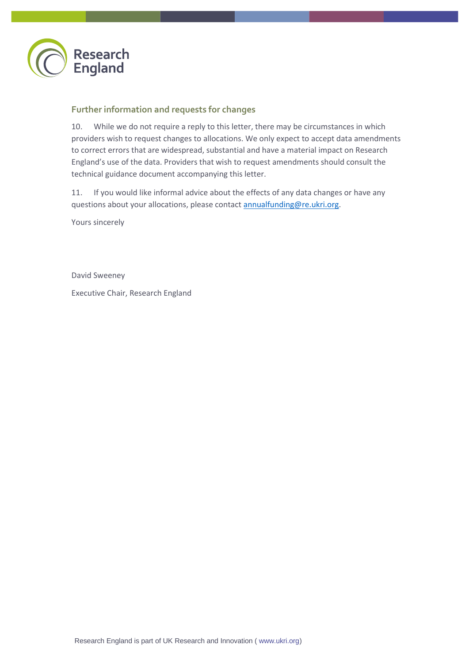

#### **Further information and requests for changes**

10. While we do not require a reply to this letter, there may be circumstances in which providers wish to request changes to allocations. We only expect to accept data amendments to correct errors that are widespread, substantial and have a material impact on Research England's use of the data. Providers that wish to request amendments should consult the technical guidance document accompanying this letter.

11. If you would like informal advice about the effects of any data changes or have any questions about your allocations, please contact [annualfunding@re.ukri.org.](mailto:annualfunding@re.ukri.org)

Yours sincerely

David Sweeney

Executive Chair, Research England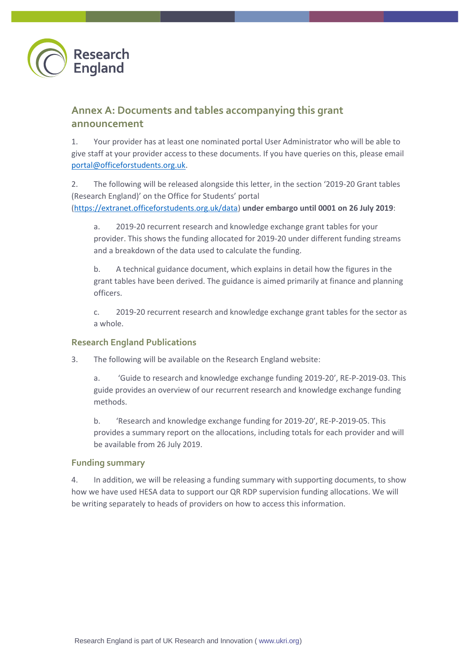

## **Annex A: Documents and tables accompanying this grant announcement**

1. Your provider has at least one nominated portal User Administrator who will be able to give staff at your provider access to these documents. If you have queries on this, please email [portal@officeforstudents.org.uk.](mailto:portal@officeforstudents.org.uk)

2. The following will be released alongside this letter, in the section '2019-20 Grant tables (Research England)' on the Office for Students' portal [\(https://extranet.officeforstudents.org.uk/data\)](https://extranet.officeforstudents.org.uk/data) **under embargo until 0001 on 26 July 2019**:

a. 2019-20 recurrent research and knowledge exchange grant tables for your provider. This shows the funding allocated for 2019-20 under different funding streams and a breakdown of the data used to calculate the funding.

b. A technical guidance document, which explains in detail how the figures in the grant tables have been derived. The guidance is aimed primarily at finance and planning officers.

c. 2019-20 recurrent research and knowledge exchange grant tables for the sector as a whole.

#### **Research England Publications**

3. The following will be available on the Research England website:

a. 'Guide to research and knowledge exchange funding 2019-20', RE-P-2019-03. This guide provides an overview of our recurrent research and knowledge exchange funding methods.

b. 'Research and knowledge exchange funding for 2019-20', RE-P-2019-05. This provides a summary report on the allocations, including totals for each provider and will be available from 26 July 2019.

#### **Funding summary**

4. In addition, we will be releasing a funding summary with supporting documents, to show how we have used HESA data to support our QR RDP supervision funding allocations. We will be writing separately to heads of providers on how to access this information.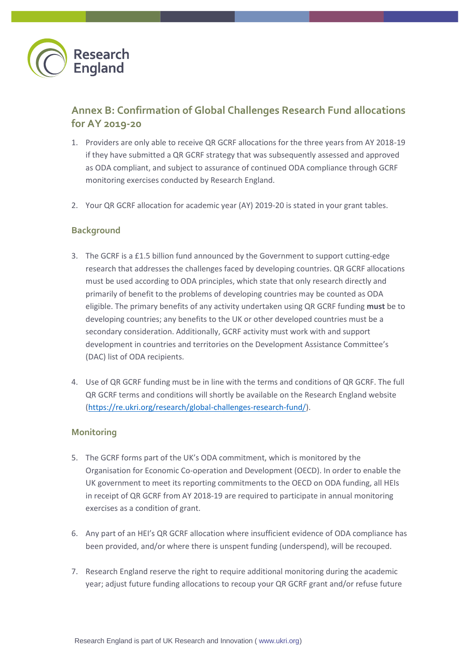

## **Annex B: Confirmation of Global Challenges Research Fund allocations for AY 2019-20**

- 1. Providers are only able to receive QR GCRF allocations for the three years from AY 2018-19 if they have submitted a QR GCRF strategy that was subsequently assessed and approved as ODA compliant, and subject to assurance of continued ODA compliance through GCRF monitoring exercises conducted by Research England.
- 2. Your QR GCRF allocation for academic year (AY) 2019-20 is stated in your grant tables.

#### **Background**

- 3. The GCRF is a £1.5 billion fund announced by the Government to support cutting-edge research that addresses the challenges faced by developing countries. QR GCRF allocations must be used according to ODA principles, which state that only research directly and primarily of benefit to the problems of developing countries may be counted as ODA eligible. The primary benefits of any activity undertaken using QR GCRF funding **must** be to developing countries; any benefits to the UK or other developed countries must be a secondary consideration. Additionally, GCRF activity must work with and support development in countries and territories on the Development Assistance Committee's (DAC) list of ODA recipients.
- 4. Use of QR GCRF funding must be in line with the terms and conditions of QR GCRF. The full QR GCRF terms and conditions will shortly be available on the Research England website [\(https://re.ukri.org/research/global-challenges-research-fund/\)](https://re.ukri.org/research/global-challenges-research-fund/).

#### **Monitoring**

- 5. The GCRF forms part of the UK's ODA commitment, which is monitored by the Organisation for Economic Co-operation and Development (OECD). In order to enable the UK government to meet its reporting commitments to the OECD on ODA funding, all HEIs in receipt of QR GCRF from AY 2018-19 are required to participate in annual monitoring exercises as a condition of grant.
- 6. Any part of an HEI's QR GCRF allocation where insufficient evidence of ODA compliance has been provided, and/or where there is unspent funding (underspend), will be recouped.
- 7. Research England reserve the right to require additional monitoring during the academic year; adjust future funding allocations to recoup your QR GCRF grant and/or refuse future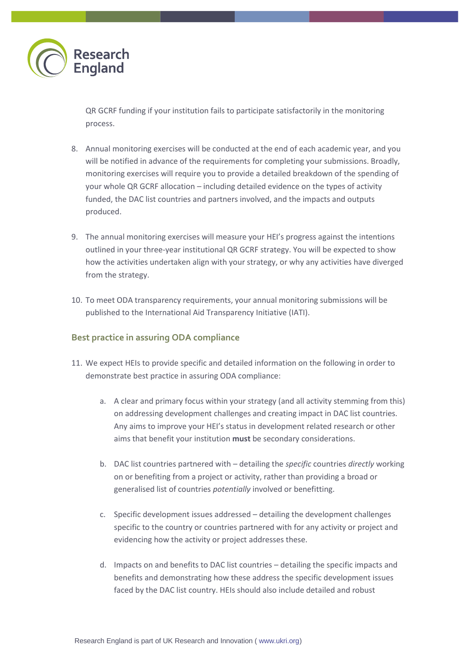

QR GCRF funding if your institution fails to participate satisfactorily in the monitoring process.

- 8. Annual monitoring exercises will be conducted at the end of each academic year, and you will be notified in advance of the requirements for completing your submissions. Broadly, monitoring exercises will require you to provide a detailed breakdown of the spending of your whole QR GCRF allocation – including detailed evidence on the types of activity funded, the DAC list countries and partners involved, and the impacts and outputs produced.
- 9. The annual monitoring exercises will measure your HEI's progress against the intentions outlined in your three-year institutional QR GCRF strategy. You will be expected to show how the activities undertaken align with your strategy, or why any activities have diverged from the strategy.
- 10. To meet ODA transparency requirements, your annual monitoring submissions will be published to the International Aid Transparency Initiative (IATI).

#### **Best practice in assuring ODA compliance**

- 11. We expect HEIs to provide specific and detailed information on the following in order to demonstrate best practice in assuring ODA compliance:
	- a. A clear and primary focus within your strategy (and all activity stemming from this) on addressing development challenges and creating impact in DAC list countries. Any aims to improve your HEI's status in development related research or other aims that benefit your institution **must** be secondary considerations.
	- b. DAC list countries partnered with detailing the *specific* countries *directly* working on or benefiting from a project or activity, rather than providing a broad or generalised list of countries *potentially* involved or benefitting.
	- c. Specific development issues addressed detailing the development challenges specific to the country or countries partnered with for any activity or project and evidencing how the activity or project addresses these.
	- d. Impacts on and benefits to DAC list countries detailing the specific impacts and benefits and demonstrating how these address the specific development issues faced by the DAC list country. HEIs should also include detailed and robust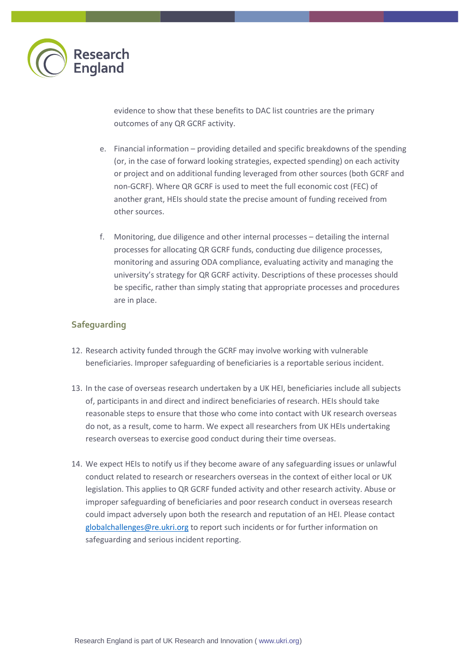

evidence to show that these benefits to DAC list countries are the primary outcomes of any QR GCRF activity.

- e. Financial information providing detailed and specific breakdowns of the spending (or, in the case of forward looking strategies, expected spending) on each activity or project and on additional funding leveraged from other sources (both GCRF and non-GCRF). Where QR GCRF is used to meet the full economic cost (FEC) of another grant, HEIs should state the precise amount of funding received from other sources.
- f. Monitoring, due diligence and other internal processes detailing the internal processes for allocating QR GCRF funds, conducting due diligence processes, monitoring and assuring ODA compliance, evaluating activity and managing the university's strategy for QR GCRF activity. Descriptions of these processes should be specific, rather than simply stating that appropriate processes and procedures are in place.

#### **Safeguarding**

- 12. Research activity funded through the GCRF may involve working with vulnerable beneficiaries. Improper safeguarding of beneficiaries is a reportable serious incident.
- 13. In the case of overseas research undertaken by a UK HEI, beneficiaries include all subjects of, participants in and direct and indirect beneficiaries of research. HEIs should take reasonable steps to ensure that those who come into contact with UK research overseas do not, as a result, come to harm. We expect all researchers from UK HEIs undertaking research overseas to exercise good conduct during their time overseas.
- 14. We expect HEIs to notify us if they become aware of any safeguarding issues or unlawful conduct related to research or researchers overseas in the context of either local or UK legislation. This applies to QR GCRF funded activity and other research activity. Abuse or improper safeguarding of beneficiaries and poor research conduct in overseas research could impact adversely upon both the research and reputation of an HEI. Please contact [globalchallenges@re.ukri.org](mailto:globalchallenges@re.ukri.org) to report such incidents or for further information on safeguarding and serious incident reporting.